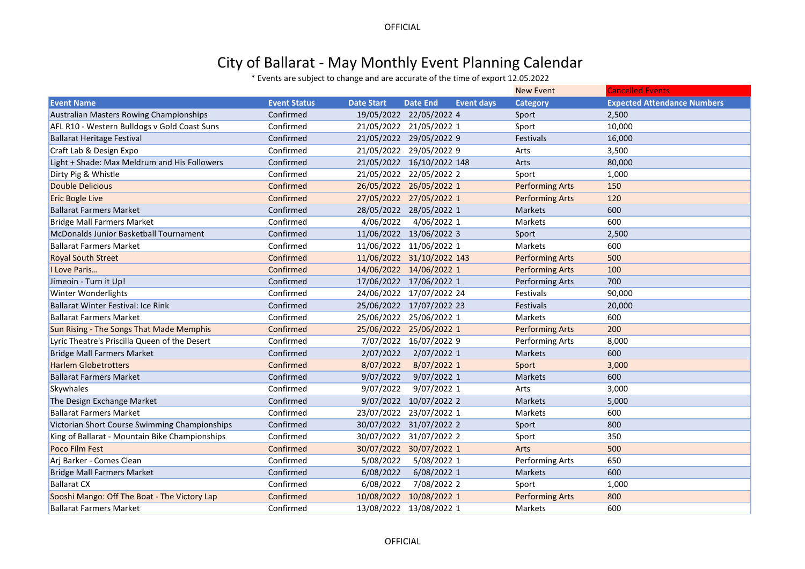**OFFICIAL** 

## City of Ballarat - May Monthly Event Planning Calendar

\* Events are subject to change and are accurate of the time of export 12.05.2022

|                                                |                     |                   |                                      | <b>New Event</b>       | <b>Cancelled Events</b>            |
|------------------------------------------------|---------------------|-------------------|--------------------------------------|------------------------|------------------------------------|
| <b>Event Name</b>                              | <b>Event Status</b> | <b>Date Start</b> | <b>Date End</b><br><b>Event days</b> | <b>Category</b>        | <b>Expected Attendance Numbers</b> |
| <b>Australian Masters Rowing Championships</b> | Confirmed           |                   | 19/05/2022 22/05/2022 4              | Sport                  | 2,500                              |
| AFL R10 - Western Bulldogs v Gold Coast Suns   | Confirmed           |                   | 21/05/2022 21/05/2022 1              | Sport                  | 10,000                             |
| <b>Ballarat Heritage Festival</b>              | Confirmed           |                   | 21/05/2022 29/05/2022 9              | Festivals              | 16,000                             |
| Craft Lab & Design Expo                        | Confirmed           |                   | 21/05/2022 29/05/2022 9              | Arts                   | 3,500                              |
| Light + Shade: Max Meldrum and His Followers   | Confirmed           |                   | 21/05/2022 16/10/2022 148            | Arts                   | 80,000                             |
| Dirty Pig & Whistle                            | Confirmed           |                   | 21/05/2022 22/05/2022 2              | Sport                  | 1,000                              |
| <b>Double Delicious</b>                        | Confirmed           |                   | 26/05/2022 26/05/2022 1              | <b>Performing Arts</b> | 150                                |
| <b>Eric Bogle Live</b>                         | Confirmed           |                   | 27/05/2022 27/05/2022 1              | <b>Performing Arts</b> | 120                                |
| <b>Ballarat Farmers Market</b>                 | Confirmed           |                   | 28/05/2022 28/05/2022 1              | Markets                | 600                                |
| <b>Bridge Mall Farmers Market</b>              | Confirmed           | 4/06/2022         | 4/06/2022 1                          | Markets                | 600                                |
| McDonalds Junior Basketball Tournament         | Confirmed           |                   | 11/06/2022 13/06/2022 3              | Sport                  | 2,500                              |
| <b>Ballarat Farmers Market</b>                 | Confirmed           |                   | 11/06/2022 11/06/2022 1              | Markets                | 600                                |
| <b>Royal South Street</b>                      | Confirmed           |                   | 11/06/2022 31/10/2022 143            | <b>Performing Arts</b> | 500                                |
| I Love Paris                                   | Confirmed           |                   | 14/06/2022 14/06/2022 1              | <b>Performing Arts</b> | 100                                |
| Jimeoin - Turn it Up!                          | Confirmed           |                   | 17/06/2022 17/06/2022 1              | Performing Arts        | 700                                |
| <b>Winter Wonderlights</b>                     | Confirmed           |                   | 24/06/2022 17/07/2022 24             | Festivals              | 90,000                             |
| Ballarat Winter Festival: Ice Rink             | Confirmed           |                   | 25/06/2022 17/07/2022 23             | Festivals              | 20,000                             |
| <b>Ballarat Farmers Market</b>                 | Confirmed           |                   | 25/06/2022 25/06/2022 1              | Markets                | 600                                |
| Sun Rising - The Songs That Made Memphis       | Confirmed           |                   | 25/06/2022 25/06/2022 1              | <b>Performing Arts</b> | 200                                |
| Lyric Theatre's Priscilla Queen of the Desert  | Confirmed           |                   | 7/07/2022 16/07/2022 9               | Performing Arts        | 8,000                              |
| <b>Bridge Mall Farmers Market</b>              | Confirmed           | 2/07/2022         | 2/07/2022 1                          | Markets                | 600                                |
| <b>Harlem Globetrotters</b>                    | Confirmed           | 8/07/2022         | 8/07/2022 1                          | Sport                  | 3,000                              |
| <b>Ballarat Farmers Market</b>                 | Confirmed           | 9/07/2022         | 9/07/2022 1                          | <b>Markets</b>         | 600                                |
| Skywhales                                      | Confirmed           | 9/07/2022         | 9/07/2022 1                          | Arts                   | 3,000                              |
| The Design Exchange Market                     | Confirmed           |                   | 9/07/2022 10/07/2022 2               | <b>Markets</b>         | 5,000                              |
| <b>Ballarat Farmers Market</b>                 | Confirmed           |                   | 23/07/2022 23/07/2022 1              | Markets                | 600                                |
| Victorian Short Course Swimming Championships  | Confirmed           |                   | 30/07/2022 31/07/2022 2              | Sport                  | 800                                |
| King of Ballarat - Mountain Bike Championships | Confirmed           | 30/07/2022        | 31/07/2022 2                         | Sport                  | 350                                |
| <b>Poco Film Fest</b>                          | Confirmed           | 30/07/2022        | 30/07/2022 1                         | Arts                   | 500                                |
| Arj Barker - Comes Clean                       | Confirmed           | 5/08/2022         | 5/08/2022 1                          | Performing Arts        | 650                                |
| <b>Bridge Mall Farmers Market</b>              | Confirmed           | 6/08/2022         | 6/08/2022 1                          | <b>Markets</b>         | 600                                |
| <b>Ballarat CX</b>                             | Confirmed           | 6/08/2022         | 7/08/2022 2                          | Sport                  | 1,000                              |
| Sooshi Mango: Off The Boat - The Victory Lap   | Confirmed           | 10/08/2022        | 10/08/2022 1                         | <b>Performing Arts</b> | 800                                |
| <b>Ballarat Farmers Market</b>                 | Confirmed           | 13/08/2022        | 13/08/2022 1                         | Markets                | 600                                |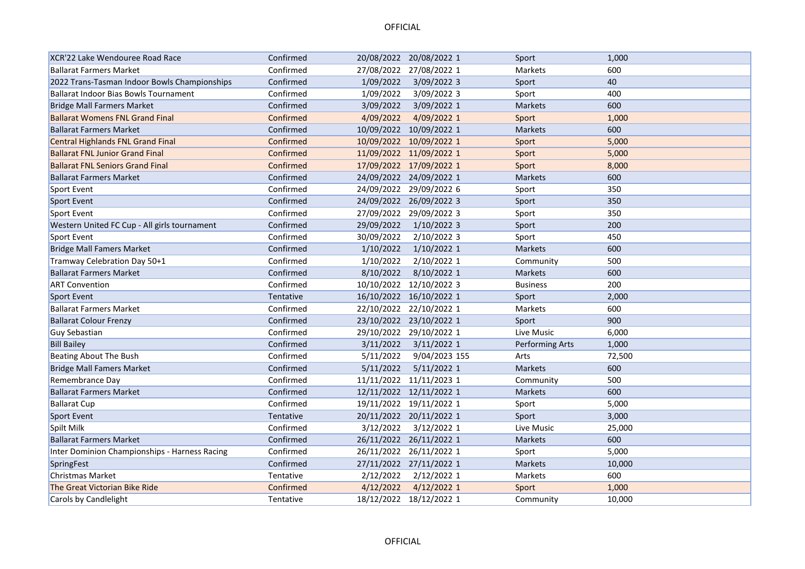## **OFFICIAL**

| XCR'22 Lake Wendouree Road Race               | Confirmed |            | 20/08/2022 20/08/2022 1 | Sport           | 1,000  |
|-----------------------------------------------|-----------|------------|-------------------------|-----------------|--------|
| <b>Ballarat Farmers Market</b>                | Confirmed |            | 27/08/2022 27/08/2022 1 | Markets         | 600    |
| 2022 Trans-Tasman Indoor Bowls Championships  | Confirmed | 1/09/2022  | 3/09/2022 3             | Sport           | 40     |
| <b>Ballarat Indoor Bias Bowls Tournament</b>  | Confirmed | 1/09/2022  | 3/09/2022 3             | Sport           | 400    |
| <b>Bridge Mall Farmers Market</b>             | Confirmed | 3/09/2022  | 3/09/2022 1             | <b>Markets</b>  | 600    |
| <b>Ballarat Womens FNL Grand Final</b>        | Confirmed | 4/09/2022  | 4/09/2022 1             | Sport           | 1,000  |
| <b>Ballarat Farmers Market</b>                | Confirmed |            | 10/09/2022 10/09/2022 1 | Markets         | 600    |
| <b>Central Highlands FNL Grand Final</b>      | Confirmed |            | 10/09/2022 10/09/2022 1 | Sport           | 5,000  |
| <b>Ballarat FNL Junior Grand Final</b>        | Confirmed |            | 11/09/2022 11/09/2022 1 | Sport           | 5,000  |
| <b>Ballarat FNL Seniors Grand Final</b>       | Confirmed |            | 17/09/2022 17/09/2022 1 | Sport           | 8,000  |
| <b>Ballarat Farmers Market</b>                | Confirmed |            | 24/09/2022 24/09/2022 1 | <b>Markets</b>  | 600    |
| Sport Event                                   | Confirmed |            | 24/09/2022 29/09/2022 6 | Sport           | 350    |
| Sport Event                                   | Confirmed |            | 24/09/2022 26/09/2022 3 | Sport           | 350    |
| Sport Event                                   | Confirmed |            | 27/09/2022 29/09/2022 3 | Sport           | 350    |
| Western United FC Cup - All girls tournament  | Confirmed | 29/09/2022 | $1/10/2022$ 3           | Sport           | 200    |
| Sport Event                                   | Confirmed | 30/09/2022 | 2/10/2022 3             | Sport           | 450    |
| <b>Bridge Mall Famers Market</b>              | Confirmed | 1/10/2022  | 1/10/2022 1             | Markets         | 600    |
| Tramway Celebration Day 50+1                  | Confirmed | 1/10/2022  | 2/10/2022 1             | Community       | 500    |
| <b>Ballarat Farmers Market</b>                | Confirmed | 8/10/2022  | 8/10/2022 1             | Markets         | 600    |
| <b>ART Convention</b>                         | Confirmed |            | 10/10/2022 12/10/2022 3 | <b>Business</b> | 200    |
| Sport Event                                   | Tentative |            | 16/10/2022 16/10/2022 1 | Sport           | 2,000  |
| <b>Ballarat Farmers Market</b>                | Confirmed |            | 22/10/2022 22/10/2022 1 | Markets         | 600    |
| <b>Ballarat Colour Frenzy</b>                 | Confirmed |            | 23/10/2022 23/10/2022 1 | Sport           | 900    |
| <b>Guy Sebastian</b>                          | Confirmed |            | 29/10/2022 29/10/2022 1 | Live Music      | 6,000  |
| <b>Bill Bailey</b>                            | Confirmed | 3/11/2022  | 3/11/2022 1             | Performing Arts | 1,000  |
| Beating About The Bush                        | Confirmed | 5/11/2022  | 9/04/2023 155           | Arts            | 72,500 |
| <b>Bridge Mall Famers Market</b>              | Confirmed | 5/11/2022  | 5/11/2022 1             | Markets         | 600    |
| Remembrance Day                               | Confirmed |            | 11/11/2022 11/11/2023 1 | Community       | 500    |
| <b>Ballarat Farmers Market</b>                | Confirmed |            | 12/11/2022 12/11/2022 1 | <b>Markets</b>  | 600    |
| <b>Ballarat Cup</b>                           | Confirmed |            | 19/11/2022 19/11/2022 1 | Sport           | 5,000  |
| Sport Event                                   | Tentative |            | 20/11/2022 20/11/2022 1 | Sport           | 3,000  |
| Spilt Milk                                    | Confirmed | 3/12/2022  | 3/12/2022 1             | Live Music      | 25,000 |
| <b>Ballarat Farmers Market</b>                | Confirmed |            | 26/11/2022 26/11/2022 1 | Markets         | 600    |
| Inter Dominion Championships - Harness Racing | Confirmed |            | 26/11/2022 26/11/2022 1 | Sport           | 5,000  |
| SpringFest                                    | Confirmed |            | 27/11/2022 27/11/2022 1 | Markets         | 10,000 |
| <b>Christmas Market</b>                       | Tentative | 2/12/2022  | 2/12/2022 1             | Markets         | 600    |
| The Great Victorian Bike Ride                 | Confirmed | 4/12/2022  | $4/12/2022$ 1           | Sport           | 1,000  |
| <b>Carols by Candlelight</b>                  | Tentative |            | 18/12/2022 18/12/2022 1 | Community       | 10.000 |